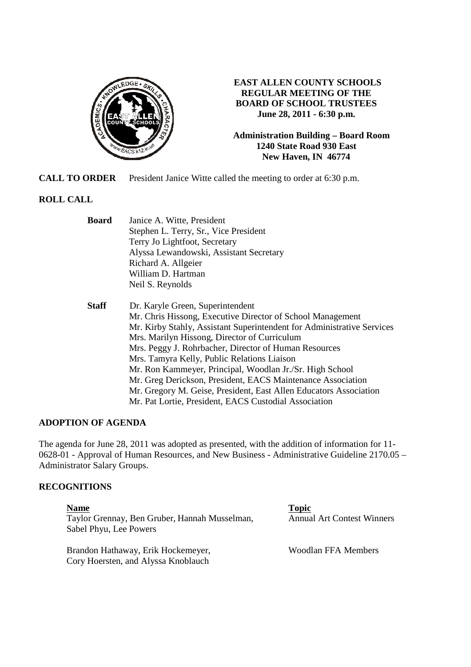

# **EAST ALLEN COUNTY SCHOOLS REGULAR MEETING OF THE BOARD OF SCHOOL TRUSTEES June 28, 2011 - 6:30 p.m.**

**Administration Building – Board Room 1240 State Road 930 East New Haven, IN 46774**

**CALL TO ORDER** President Janice Witte called the meeting to order at 6:30 p.m.

# **ROLL CALL**

| <b>Board</b> | Janice A. Witte, President                                             |
|--------------|------------------------------------------------------------------------|
|              | Stephen L. Terry, Sr., Vice President                                  |
|              | Terry Jo Lightfoot, Secretary                                          |
|              | Alyssa Lewandowski, Assistant Secretary                                |
|              | Richard A. Allgeier                                                    |
|              | William D. Hartman                                                     |
|              | Neil S. Reynolds                                                       |
| <b>Staff</b> | Dr. Karyle Green, Superintendent                                       |
|              | Mr. Chris Hissong, Executive Director of School Management             |
|              | Mr. Kirby Stahly, Assistant Superintendent for Administrative Services |
|              | Mrs. Marilyn Hissong, Director of Curriculum                           |
|              | Mrs. Peggy J. Rohrbacher, Director of Human Resources                  |
|              | Mrs. Tamyra Kelly, Public Relations Liaison                            |
|              | Mr. Ron Kammeyer, Principal, Woodlan Jr./Sr. High School               |
|              | Mr. Greg Derickson, President, EACS Maintenance Association            |
|              | Mr. Gregory M. Geise, President, East Allen Educators Association      |
|              | Mr. Pat Lortie, President, EACS Custodial Association                  |

# **ADOPTION OF AGENDA**

The agenda for June 28, 2011 was adopted as presented, with the addition of information for 11- 0628-01 - Approval of Human Resources, and New Business - Administrative Guideline 2170.05 – Administrator Salary Groups.

### **RECOGNITIONS**

**Name** Topic **Name** Taylor Grennay, Ben Gruber, Hannah Musselman, Annual Art Contest Winners Sabel Phyu, Lee Powers

Brandon Hathaway, Erik Hockemeyer, Woodlan FFA Members Cory Hoersten, and Alyssa Knoblauch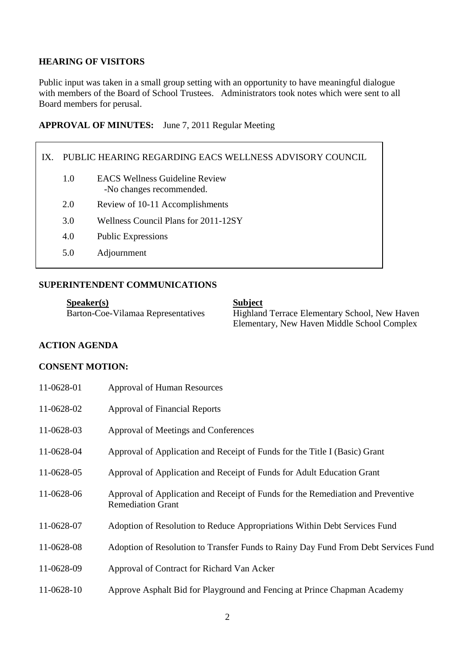# **HEARING OF VISITORS**

Public input was taken in a small group setting with an opportunity to have meaningful dialogue with members of the Board of School Trustees. Administrators took notes which were sent to all Board members for perusal.

### **APPROVAL OF MINUTES:** June 7, 2011 Regular Meeting

# IX. PUBLIC HEARING REGARDING EACS WELLNESS ADVISORY COUNCIL 1.0 EACS Wellness Guideline Review -No changes recommended. 2.0 Review of 10-11 Accomplishments 3.0 Wellness Council Plans for 2011-12SY 4.0 Public Expressions 5.0 Adjournment

# **SUPERINTENDENT COMMUNICATIONS**

**Speaker(s)**<br>Barton-Coe-Vilamaa Representatives Highland

Highland Terrace Elementary School, New Haven Elementary, New Haven Middle School Complex

# **ACTION AGENDA**

### **CONSENT MOTION:**

| 11-0628-01 | <b>Approval of Human Resources</b>                                                                          |
|------------|-------------------------------------------------------------------------------------------------------------|
| 11-0628-02 | <b>Approval of Financial Reports</b>                                                                        |
| 11-0628-03 | Approval of Meetings and Conferences                                                                        |
| 11-0628-04 | Approval of Application and Receipt of Funds for the Title I (Basic) Grant                                  |
| 11-0628-05 | Approval of Application and Receipt of Funds for Adult Education Grant                                      |
| 11-0628-06 | Approval of Application and Receipt of Funds for the Remediation and Preventive<br><b>Remediation Grant</b> |
| 11-0628-07 | Adoption of Resolution to Reduce Appropriations Within Debt Services Fund                                   |
| 11-0628-08 | Adoption of Resolution to Transfer Funds to Rainy Day Fund From Debt Services Fund                          |
| 11-0628-09 | Approval of Contract for Richard Van Acker                                                                  |
| 11-0628-10 | Approve Asphalt Bid for Playground and Fencing at Prince Chapman Academy                                    |